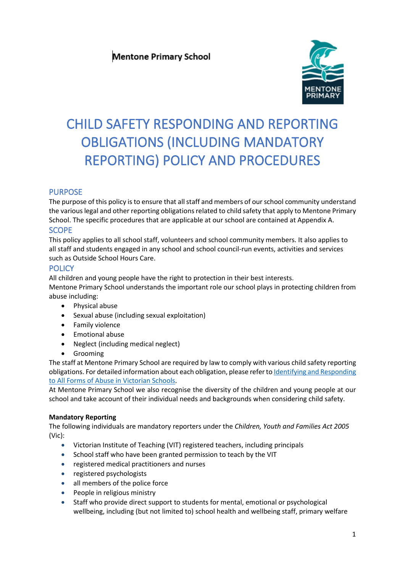

# CHILD SAFETY RESPONDING AND REPORTING OBLIGATIONS (INCLUDING MANDATORY REPORTING) POLICY AND PROCEDURES

# PURPOSE

The purpose of this policy is to ensure that all staff and members of our school community understand the various legal and other reporting obligations related to child safety that apply to Mentone Primary School. The specific procedures that are applicable at our school are contained at Appendix A. **SCOPE** 

# This policy applies to all school staff, volunteers and school community members. It also applies to all staff and students engaged in any school and school council-run events, activities and services such as Outside School Hours Care.

# **POLICY**

All children and young people have the right to protection in their best interests.

Mentone Primary School understands the important role our school plays in protecting children from abuse including:

- Physical abuse
- Sexual abuse (including sexual exploitation)
- Family violence
- Emotional abuse
- Neglect (including medical neglect)
- Grooming

The staff at Mentone Primary School are required by law to comply with various child safety reporting obligations. For detailed information about each obligation, please refer t[o Identifying and Responding](https://www.education.vic.gov.au/Documents/about/programs/health/protect/ChildSafeStandard5_SchoolsGuide.pdf)  [to All Forms of Abuse in Victorian Schools.](https://www.education.vic.gov.au/Documents/about/programs/health/protect/ChildSafeStandard5_SchoolsGuide.pdf)

At Mentone Primary School we also recognise the diversity of the children and young people at our school and take account of their individual needs and backgrounds when considering child safety.

# **Mandatory Reporting**

The following individuals are mandatory reporters under the *Children, Youth and Families Act 2005* (Vic):

- Victorian Institute of Teaching (VIT) registered teachers, including principals
- School staff who have been granted permission to teach by the VIT
- registered medical practitioners and nurses
- registered psychologists
- all members of the police force
- People in religious ministry
- Staff who provide direct support to students for mental, emotional or psychological wellbeing, including (but not limited to) school health and wellbeing staff, primary welfare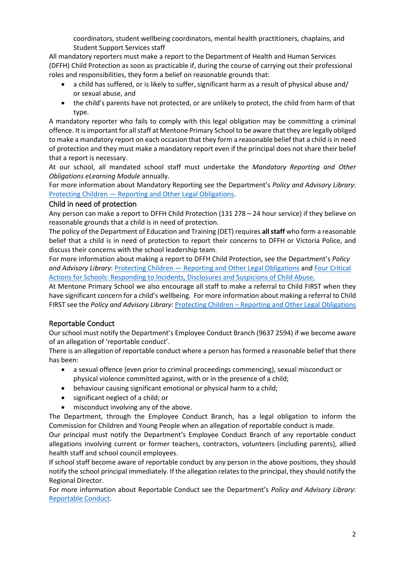coordinators, student wellbeing coordinators, mental health practitioners, chaplains, and Student Support Services staff

All mandatory reporters must make a report to the Department of Health and Human Services (DFFH) Child Protection as soon as practicable if, during the course of carrying out their professional roles and responsibilities, they form a belief on reasonable grounds that:

- a child has suffered, or is likely to suffer, significant harm as a result of physical abuse and/ or sexual abuse, and
- the child's parents have not protected, or are unlikely to protect, the child from harm of that type.

A mandatory reporter who fails to comply with this legal obligation may be committing a criminal offence. It is important for all staff at Mentone Primary School to be aware that they are legally obliged to make a mandatory report on each occasion that they form a reasonable belief that a child is in need of protection and they must make a mandatory report even if the principal does not share their belief that a report is necessary.

At our school, all mandated school staff must undertake the *Mandatory Reporting and Other Obligations eLearning Module* annually.

For more information about Mandatory Reporting see the Department's *Policy and Advisory Library*: Protecting Children — [Reporting and Other Legal Obligations.](https://www2.education.vic.gov.au/pal/protecting-children/policy)

#### Child in need of protection

Any person can make a report to DFFH Child Protection (131 278 – 24 hour service) if they believe on reasonable grounds that a child is in need of protection.

The policy of the Department of Education and Training (DET) requires **all staff** who form a reasonable belief that a child is in need of protection to report their concerns to DFFH or Victoria Police, and discuss their concerns with the school leadership team.

For more information about making a report to DFFH Child Protection, see the Department's *Policy and Advisory Library*: Protecting Children — [Reporting and Other Legal Obligations](https://www2.education.vic.gov.au/pal/protecting-children/policy) and [Four Critical](https://www.education.vic.gov.au/Documents/about/programs/health/protect/FourCriticalActions_ChildAbuse.pdf)  [Actions for Schools: Responding to Incidents, Disclosures and Suspicions of Child Abuse.](https://www.education.vic.gov.au/Documents/about/programs/health/protect/FourCriticalActions_ChildAbuse.pdf)

At Mentone Primary School we also encourage all staff to make a referral to Child FIRST when they have significant concern for a child's wellbeing. For more information about making a referral to Child FIRST see the *Policy and Advisory Library*: **Protecting Children** – [Reporting and Other Legal Obligations](https://www2.education.vic.gov.au/pal/protecting-children/policy)

### Reportable Conduct

Our school must notify the Department's Employee Conduct Branch (9637 2594) if we become aware of an allegation of 'reportable conduct'.

There is an allegation of reportable conduct where a person has formed a reasonable belief that there has been:

- a sexual offence (even prior to criminal proceedings commencing), sexual misconduct or physical violence committed against, with or in the presence of a child;
- behaviour causing significant emotional or physical harm to a child;
- significant neglect of a child; or
- misconduct involving any of the above.

The Department, through the Employee Conduct Branch, has a legal obligation to inform the Commission for Children and Young People when an allegation of reportable conduct is made.

Our principal must notify the Department's Employee Conduct Branch of any reportable conduct allegations involving current or former teachers, contractors, volunteers (including parents), allied health staff and school council employees.

If school staff become aware of reportable conduct by any person in the above positions, they should notify the school principal immediately. If the allegation relates to the principal, they should notify the Regional Director.

For more information about Reportable Conduct see the Department's *Policy and Advisory Library*: [Reportable Conduct.](https://www2.education.vic.gov.au/pal/reportable-conduct-scheme/policy)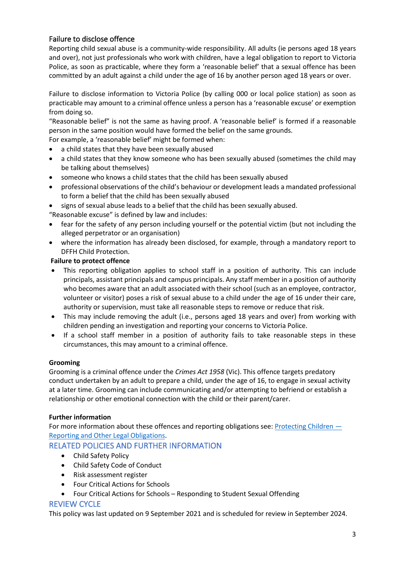# Failure to disclose offence

Reporting child sexual abuse is a community-wide responsibility. All adults (ie persons aged 18 years and over), not just professionals who work with children, have a legal obligation to report to Victoria Police, as soon as practicable, where they form a 'reasonable belief' that a sexual offence has been committed by an adult against a child under the age of 16 by another person aged 18 years or over.

Failure to disclose information to Victoria Police (by calling 000 or local police station) as soon as practicable may amount to a criminal offence unless a person has a 'reasonable excuse' or exemption from doing so.

"Reasonable belief" is not the same as having proof. A 'reasonable belief' is formed if a reasonable person in the same position would have formed the belief on the same grounds.

For example, a 'reasonable belief' might be formed when:

- a child states that they have been sexually abused
- a child states that they know someone who has been sexually abused (sometimes the child may be talking about themselves)
- someone who knows a child states that the child has been sexually abused
- professional observations of the child's behaviour or development leads a mandated professional to form a belief that the child has been sexually abused
- signs of sexual abuse leads to a belief that the child has been sexually abused.

"Reasonable excuse" is defined by law and includes:

- fear for the safety of any person including yourself or the potential victim (but not including the alleged perpetrator or an organisation)
- where the information has already been disclosed, for example, through a mandatory report to DFFH Child Protection.

#### **Failure to protect offence**

- This reporting obligation applies to school staff in a position of authority. This can include principals, assistant principals and campus principals. Any staff member in a position of authority who becomes aware that an adult associated with their school (such as an employee, contractor, volunteer or visitor) poses a risk of sexual abuse to a child under the age of 16 under their care, authority or supervision, must take all reasonable steps to remove or reduce that risk.
- This may include removing the adult (i.e., persons aged 18 years and over) from working with children pending an investigation and reporting your concerns to Victoria Police.
- If a school staff member in a position of authority fails to take reasonable steps in these circumstances, this may amount to a criminal offence.

#### **Grooming**

Grooming is a criminal offence under the *Crimes Act 1958* (Vic). This offence targets predatory conduct undertaken by an adult to prepare a child, under the age of 16, to engage in sexual activity at a later time. Grooming can include communicating and/or attempting to befriend or establish a relationship or other emotional connection with the child or their parent/carer.

#### **Further information**

For more information about these offences and reporting obligations see: [Protecting Children](https://www2.education.vic.gov.au/pal/protecting-children/policy) — [Reporting and Other Legal Obligations.](https://www2.education.vic.gov.au/pal/protecting-children/policy)

# RELATED POLICIES AND FURTHER INFORMATION

- Child Safety Policy
- Child Safety Code of Conduct
- Risk assessment register
- Four Critical Actions for Schools
- Four Critical Actions for Schools Responding to Student Sexual Offending

### REVIEW CYCLE

This policy was last updated on 9 September 2021 and is scheduled for review in September 2024.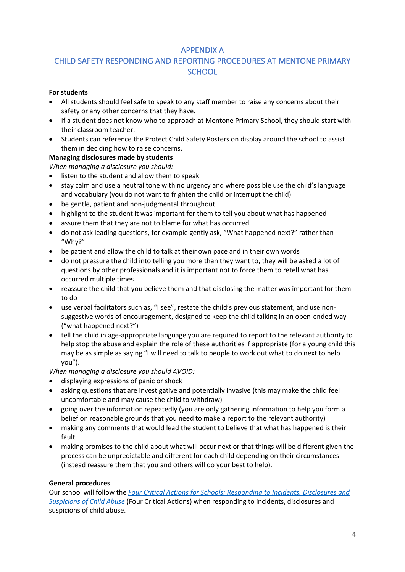# APPENDIX A

# CHILD SAFETY RESPONDING AND REPORTING PROCEDURES AT MENTONE PRIMARY **SCHOOL**

### **For students**

- All students should feel safe to speak to any staff member to raise any concerns about their safety or any other concerns that they have.
- If a student does not know who to approach at Mentone Primary School, they should start with their classroom teacher.
- Students can reference the Protect Child Safety Posters on display around the school to assist them in deciding how to raise concerns.

### **Managing disclosures made by students**

*When managing a disclosure you should:*

- listen to the student and allow them to speak
- stay calm and use a neutral tone with no urgency and where possible use the child's language and vocabulary (you do not want to frighten the child or interrupt the child)
- be gentle, patient and non-judgmental throughout
- highlight to the student it was important for them to tell you about what has happened
- assure them that they are not to blame for what has occurred
- do not ask leading questions, for example gently ask, "What happened next?" rather than "Why?"
- be patient and allow the child to talk at their own pace and in their own words
- do not pressure the child into telling you more than they want to, they will be asked a lot of questions by other professionals and it is important not to force them to retell what has occurred multiple times
- reassure the child that you believe them and that disclosing the matter was important for them to do
- use verbal facilitators such as, "I see", restate the child's previous statement, and use nonsuggestive words of encouragement, designed to keep the child talking in an open-ended way ("what happened next?")
- tell the child in age-appropriate language you are required to report to the relevant authority to help stop the abuse and explain the role of these authorities if appropriate (for a young child this may be as simple as saying "I will need to talk to people to work out what to do next to help you").

*When managing a disclosure you should AVOID:*

- displaying expressions of panic or shock
- asking questions that are investigative and potentially invasive (this may make the child feel uncomfortable and may cause the child to withdraw)
- going over the information repeatedly (you are only gathering information to help you form a belief on reasonable grounds that you need to make a report to the relevant authority)
- making any comments that would lead the student to believe that what has happened is their fault
- making promises to the child about what will occur next or that things will be different given the process can be unpredictable and different for each child depending on their circumstances (instead reassure them that you and others will do your best to help).

### **General procedures**

Our school will follow the *[Four Critical Actions for Schools: Responding to Incidents, Disclosures and](https://www.education.vic.gov.au/Documents/about/programs/health/protect/FourCriticalActions_ChildAbuse.pdf)  [Suspicions of Child Abuse](https://www.education.vic.gov.au/Documents/about/programs/health/protect/FourCriticalActions_ChildAbuse.pdf)* (Four Critical Actions) when responding to incidents, disclosures and suspicions of child abuse.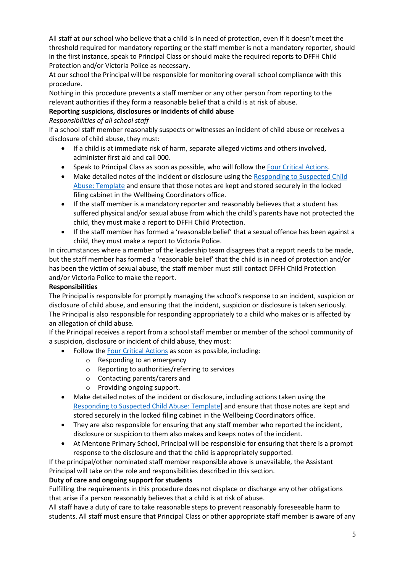All staff at our school who believe that a child is in need of protection, even if it doesn't meet the threshold required for mandatory reporting or the staff member is not a mandatory reporter, should in the first instance, speak to Principal Class or should make the required reports to DFFH Child Protection and/or Victoria Police as necessary.

At our school the Principal will be responsible for monitoring overall school compliance with this procedure.

Nothing in this procedure prevents a staff member or any other person from reporting to the relevant authorities if they form a reasonable belief that a child is at risk of abuse.

## **Reporting suspicions, disclosures or incidents of child abuse**

#### *Responsibilities of all school staff*

If a school staff member reasonably suspects or witnesses an incident of child abuse or receives a disclosure of child abuse, they must:

- If a child is at immediate risk of harm, separate alleged victims and others involved, administer first aid and call 000.
- Speak to Principal Class as soon as possible, who will follow th[e Four Critical Actions.](https://www.education.vic.gov.au/Documents/about/programs/health/protect/FourCriticalActions_ChildAbuse.pdf)
- Make detailed notes of the incident or disclosure using the Responding to Suspected Child [Abuse: Template](https://www.education.vic.gov.au/Documents/about/programs/health/protect/PROTECT_Schoolstemplate.pdf) and ensure that those notes are kept and stored securely in the locked filing cabinet in the Wellbeing Coordinators office.
- If the staff member is a mandatory reporter and reasonably believes that a student has suffered physical and/or sexual abuse from which the child's parents have not protected the child, they must make a report to DFFH Child Protection.
- If the staff member has formed a 'reasonable belief' that a sexual offence has been against a child, they must make a report to Victoria Police.

In circumstances where a member of the leadership team disagrees that a report needs to be made, but the staff member has formed a 'reasonable belief' that the child is in need of protection and/or has been the victim of sexual abuse, the staff member must still contact DFFH Child Protection and/or Victoria Police to make the report.

### **Responsibilities**

The Principal is responsible for promptly managing the school's response to an incident, suspicion or disclosure of child abuse, and ensuring that the incident, suspicion or disclosure is taken seriously. The Principal is also responsible for responding appropriately to a child who makes or is affected by an allegation of child abuse.

If the Principal receives a report from a school staff member or member of the school community of a suspicion, disclosure or incident of child abuse, they must:

- Follow th[e Four Critical Actions](https://www.education.vic.gov.au/Documents/about/programs/health/protect/FourCriticalActions_ChildAbuse.pdf) as soon as possible, including:
	- o Responding to an emergency
	- o Reporting to authorities/referring to services
	- o Contacting parents/carers and
	- o Providing ongoing support.
- Make detailed notes of the incident or disclosure, including actions taken using the [Responding to Suspected Child Abuse: Template\]](https://www.education.vic.gov.au/Documents/about/programs/health/protect/PROTECT_Schoolstemplate.pdf) and ensure that those notes are kept and stored securely in the locked filing cabinet in the Wellbeing Coordinators office.
- They are also responsible for ensuring that any staff member who reported the incident, disclosure or suspicion to them also makes and keeps notes of the incident.
- At Mentone Primary School, Principal will be responsible for ensuring that there is a prompt response to the disclosure and that the child is appropriately supported.

If the principal/other nominated staff member responsible above is unavailable, the Assistant Principal will take on the role and responsibilities described in this section.

### **Duty of care and ongoing support for students**

Fulfilling the requirements in this procedure does not displace or discharge any other obligations that arise if a person reasonably believes that a child is at risk of abuse.

All staff have a duty of care to take reasonable steps to prevent reasonably foreseeable harm to students. All staff must ensure that Principal Class or other appropriate staff member is aware of any